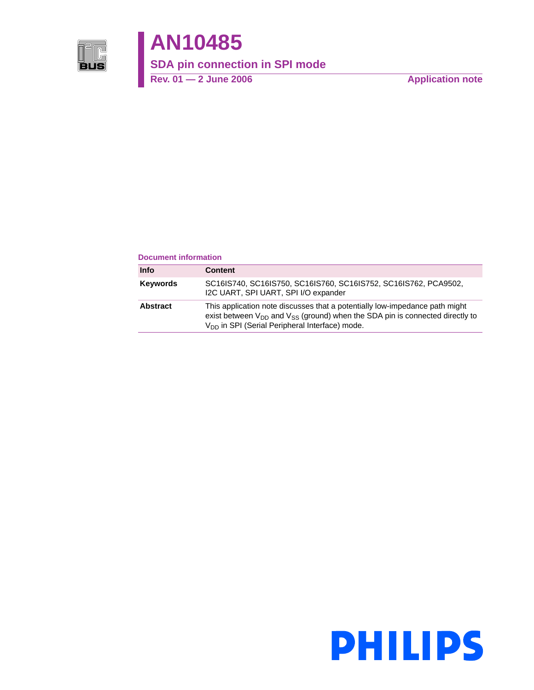

# **AN10485**

**SDA pin connection in SPI mode**

Rev. 01 — 2 June 2006 **Application note** 

#### **Document information**

| <b>Info</b>     | <b>Content</b>                                                                                                                                                                                                                      |
|-----------------|-------------------------------------------------------------------------------------------------------------------------------------------------------------------------------------------------------------------------------------|
| <b>Keywords</b> | SC16IS740, SC16IS750, SC16IS760, SC16IS752, SC16IS762, PCA9502,<br>I2C UART, SPI UART, SPI I/O expander                                                                                                                             |
| <b>Abstract</b> | This application note discusses that a potentially low-impedance path might<br>exist between $V_{DD}$ and $V_{SS}$ (ground) when the SDA pin is connected directly to<br>V <sub>DD</sub> in SPI (Serial Peripheral Interface) mode. |

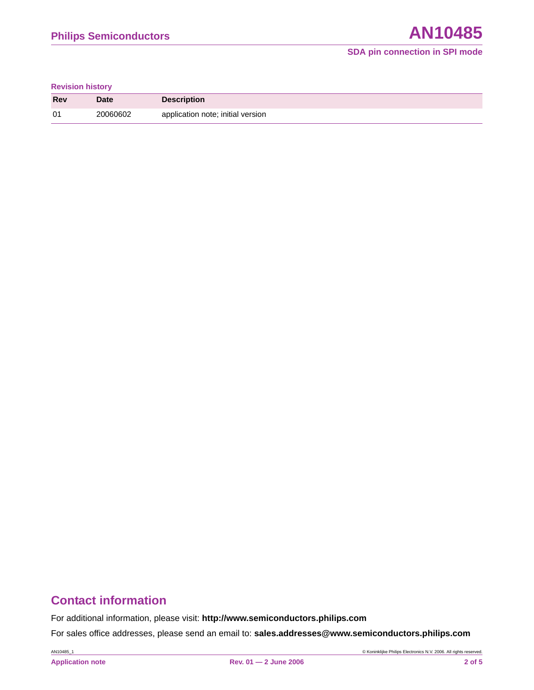#### **Revision history**

| Rev | Date     | <b>Description</b>                |
|-----|----------|-----------------------------------|
| 01  | 20060602 | application note; initial version |

# **Contact information**

For additional information, please visit: **http://www.semiconductors.philips.com**

For sales office addresses, please send an email to: **sales.addresses@www.semiconductors.philips.com**

AN10485\_1 © Koninklijke Philips Electronics N.V. 2006. All rights reserved.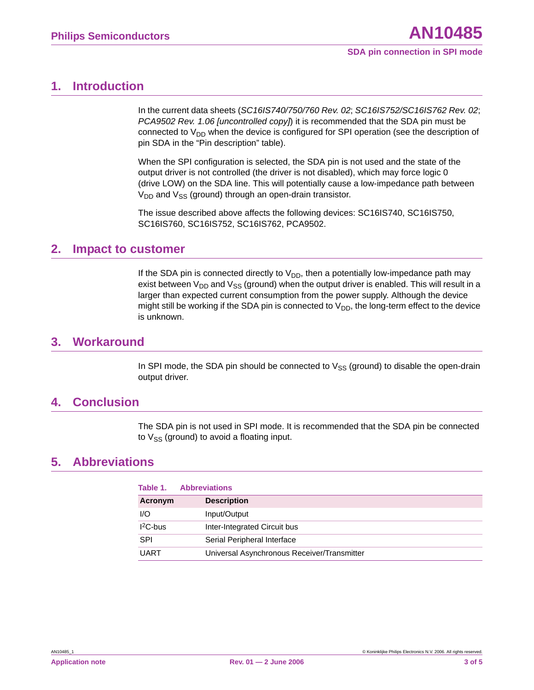## <span id="page-2-0"></span>**1. Introduction**

In the current data sheets (*SC16IS740/750/760 Rev. 02*; *SC16IS752/SC16IS762 Rev. 02*; *PCA9502 Rev. 1.06 [uncontrolled copy]*) it is recommended that the SDA pin must be connected to  $V_{DD}$  when the device is configured for SPI operation (see the description of pin SDA in the "Pin description" table).

When the SPI configuration is selected, the SDA pin is not used and the state of the output driver is not controlled (the driver is not disabled), which may force logic 0 (drive LOW) on the SDA line. This will potentially cause a low-impedance path between  $V_{DD}$  and  $V_{SS}$  (ground) through an open-drain transistor.

The issue described above affects the following devices: SC16IS740, SC16IS750, SC16IS760, SC16IS752, SC16IS762, PCA9502.

## <span id="page-2-1"></span>**2. Impact to customer**

If the SDA pin is connected directly to  $V_{DD}$ , then a potentially low-impedance path may exist between  $V_{DD}$  and  $V_{SS}$  (ground) when the output driver is enabled. This will result in a larger than expected current consumption from the power supply. Although the device might still be working if the SDA pin is connected to  $V_{DD}$ , the long-term effect to the device is unknown.

## <span id="page-2-2"></span>**3. Workaround**

In SPI mode, the SDA pin should be connected to  $V_{SS}$  (ground) to disable the open-drain output driver.

## <span id="page-2-3"></span>**4. Conclusion**

The SDA pin is not used in SPI mode. It is recommended that the SDA pin be connected to  $V_{SS}$  (ground) to avoid a floating input.

## **5. Abbreviations**

| Table 1.    | <b>Abbreviations</b>                        |  |
|-------------|---------------------------------------------|--|
| Acronym     | <b>Description</b>                          |  |
| I/O         | Input/Output                                |  |
| $I2C-bus$   | Inter-Integrated Circuit bus                |  |
| <b>SPI</b>  | Serial Peripheral Interface                 |  |
| <b>UART</b> | Universal Asynchronous Receiver/Transmitter |  |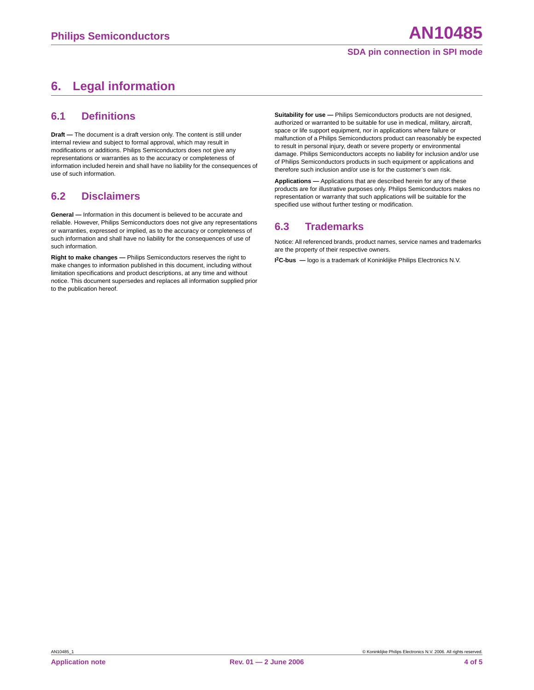#### **SDA pin connection in SPI mode**

# <span id="page-3-0"></span>**6. Legal information**

#### <span id="page-3-1"></span>**6.1 Definitions**

**Draft —** The document is a draft version only. The content is still under internal review and subject to formal approval, which may result in modifications or additions. Philips Semiconductors does not give any representations or warranties as to the accuracy or completeness of information included herein and shall have no liability for the consequences of use of such information.

### <span id="page-3-2"></span>**6.2 Disclaimers**

**General —** Information in this document is believed to be accurate and reliable. However, Philips Semiconductors does not give any representations or warranties, expressed or implied, as to the accuracy or completeness of such information and shall have no liability for the consequences of use of such information.

**Right to make changes —** Philips Semiconductors reserves the right to make changes to information published in this document, including without limitation specifications and product descriptions, at any time and without notice. This document supersedes and replaces all information supplied prior to the publication hereof.

**Suitability for use —** Philips Semiconductors products are not designed, authorized or warranted to be suitable for use in medical, military, aircraft, space or life support equipment, nor in applications where failure or malfunction of a Philips Semiconductors product can reasonably be expected to result in personal injury, death or severe property or environmental damage. Philips Semiconductors accepts no liability for inclusion and/or use of Philips Semiconductors products in such equipment or applications and therefore such inclusion and/or use is for the customer's own risk.

**Applications —** Applications that are described herein for any of these products are for illustrative purposes only. Philips Semiconductors makes no representation or warranty that such applications will be suitable for the specified use without further testing or modification.

#### <span id="page-3-3"></span>**6.3 Trademarks**

Notice: All referenced brands, product names, service names and trademarks are the property of their respective owners.

**I 2C-bus —** logo is a trademark of Koninklijke Philips Electronics N.V.